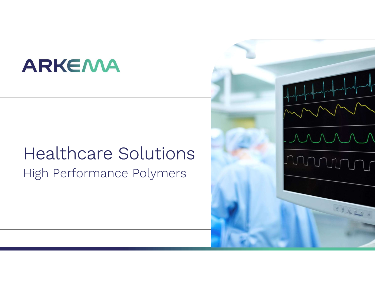# **ARKEMA**

# Healthcare Solutions High Performance Polymers

<u>MM</u>

 $\mathbf{L}$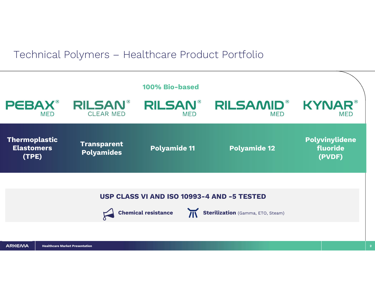### Technical Polymers – Healthcare Product Portfolio

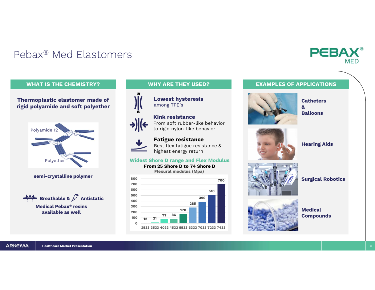## Pebax® Med Elastomers



### Thermoplastic elastomer made of rigid polyamide and soft polyether





available as well



Lowest hysteresis among TPE's

### Kink resistance From soft rubber-like behavior to rigid nylon-like behavior



Fatigue resistance Best flex fatigue resistance & highest energy return

### Widest Shore D range and Flex Modulus

From 25 Shore D to 74 Shore D Flexural modulus (Mpa)



### WHAT IS THE CHEMISTRY? **WHY ARE THEY USED?** EXAMPLES OF APPLICATIONS



**Catheters** &

**Balloons** 



Hearing Aids



Surgical Robotics



**Medical** Compounds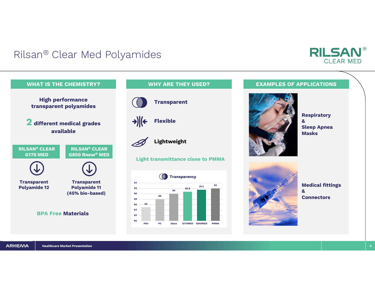## Rilsan® Clear Med Polyamides



## **Transparent** Lightweight Light transmittance close to PMMA Flexible 88 88<br>85 88<br>85 88 90 90.8 91.5 <sup>92</sup> 8688 90 94<br>92 PSU PC Glass G170MED G850MED PMMA **Transparency**



Respiratory & Sleep Apnea Masks

**RILSAN®** 

**CLEAR MED** 



Medical fittings & **Connectors**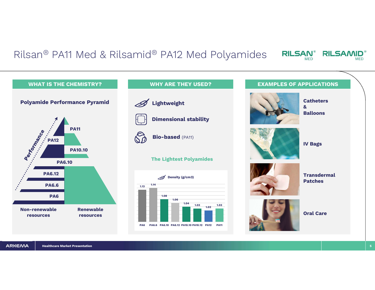### Rilsan® PA11 Med & Rilsamid® PA12 Med Polyamides RILSAN®

Healthcare Market Presentation 5 WHAT IS THE CHEMISTRY? WHY ARE THEY USED? EXAMPLES OF APPLICATIONS Non-renewable resources Renewable resources PA6 PA6.6 PA6.12 PA6.10 PA10.10 REAGAN PAID PA11 Polyamide Performance Pyramid Lightweight Bio-based (PA11) Dimensional stability The Lightest Polyamides **Catheters** & Balloons IV Bags **Transdermal** Patches Oral Care  $1.13$   $1.14$ 1.14 1.08 1.06 1.04 1.03 1.02 1.13 1.14<br>1.08 1.06 1.06 1.04 1.03 1.02 1.03<br>PA6 PA6.6 PA6.10 PA6.12 PA10.10 PA10.12 PA12 PA11  $\mathscr{D}$  Density (g/cm3)

**RILSAMID®** 

**MED**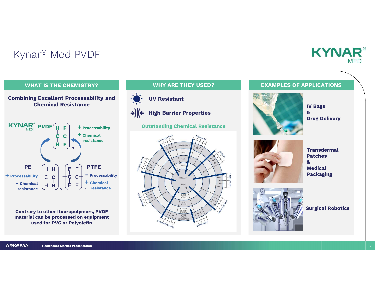## Kynar® Med PVDF



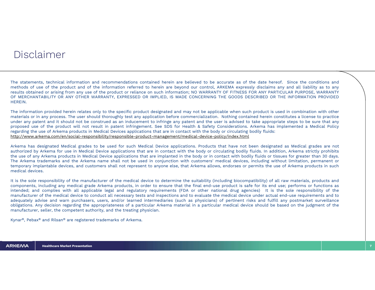### Disclaimer

DISCLAIMPT<br>The statements, technical information and recommendations contained herein are believed to be accurate as of the date hereof. Since the conditions and<br>methods of use of the product and of the information referre DISCLAIMPT<br>The statements, technical information and recommendations contained herein are believed to be accurate as of the date hereof. Since the conditions and<br>methods of use of the product and of the information referre DISCLAIM CHE statements, technical information and recommendations contained herein are believed to be accurate as of the date hereof. Since the conditions and methods of use of the product and of the information referred DISCLAIM CHANTABILITY CRIMIT AND ANY OTHER WARRANTY, EXPRESSED OR IMPLIED, IS MADE CONCERNING THE GOODS DESCRIBED OR THE INFORMATION PROVIDED THE INFORMATION PROVIDED OF THE INFORMATION PROVIDED OF THE INFORMATION PROVIDED HEREIN. DISCIAIMPT<br>The statements, technical information and recommendations contained herein are believed to be accurate as of the date hereof. Since the conditions and<br>methods of use of the product and of the information referat

The statements, technical information and recommendations contained herein are believed to be accurate as of the date hereof. Since the conditions and<br>methods of use of the product and of the information referred to herein The statements, technical information and recommendations contained herein are believed to be accurate as of the date hereof. Since the conditions and<br>methods of use of the product and of the information referred to herein The statements, technical information and recommendations contained herein are believed to be accurate as of the date hereof. Since the conditions and methods of use of the product and of the information referred to breein The statements, technical information and recommendations contained herein are believed to be accurate as of the date hereof. Since the conditions and methods of use of the product and of the information referred to herein http://www.arkema.com/en/social-responsibility/responsible-product-management/medical-device-policy/index.html meutious or use of the product and or of the mindimator release on such information; NO WARRANIY OF FITNESS FOR ANY PARTICULAR PURPOSE, WARRANIYY<br>PERCHANTABILITY OR ANY OTHER WARRANIYY, EXPRESSED OR IMPLIED, IS MADE CONCER resunts obtained or analying norm any use or the pototo. The interpolation, the varkeman in the medical Device application in The COODS DESCRIBED OR THE INFORMATION PROVIDED<br>HEREIN.<br>The information provided herein relates

The information provided herein relates only to the specific product designated and may not be applicable when such product is used in combination with other materials or in any process. The user should hot other specific Hushemation provided herein relates only to the specific product designated and may not be applicable when such product is used in combination with other<br>The information provided herein relates and inducement to infringe a The information provided herein relates only to the specific product designated and may not be applicable when such product is used in combination with other materials or in any process. The user should noto be construed a The information provided identified team relates only in<br>materials or in any process. The user should t<br>under any patent and it should not be constr<br>proposed use of the product will not result<br>regarding the use of Arkema p Inter any parent and responsibility of the manufacturer of the medical device to determine the microfacture of the medical finder and the sole of the medical finder and the sole of the product will not result in patent inf proposes ase or are products in Medical Devices applications that are in contact with the body or circulating bodily fluids:<br>http://www.arkema.com/en/social-responsibility/responsible-product-management/medical-device-poli

complies with all applicable legal and regulatory requirements (FDA or other national drug agencies) It is the sole responsibility of the medical device to conduct all necessary tests and inspections and to the medical dev intended in exactor Amerian products and compared the medical exact and response the medical or products with the exact with hodiy fluids. In addical grades are not obtained the seed for such Medical Device applications. P many, reweransemistion in the medical grades to be used for such Medical Device applications. Products that have not are designated as Medical grades are not a<br>authorized by Arkema for use in Medical Device applications th Arkema has designated Medical grades to be used for such Medical Device applications. Products that have not been designated as Medical grades are not originated by Arkema products in addition Device applications that are exemna nas uesignate we was a see to be used to result on webutan between exputations. Procedure applications that are in contact with the body or circulating bodily fluids. In addition, Arkema strictly prohibits the use o adionized by Aireina for use in webcalco encompendence applications that are in contact when the body or in the sue of any Arkema products in Medical Device applications that are implanted in the body or in The Arkema trad The Kirchina diademiants and the Kirchina mathemorary implantable devices, and customers shall not represent to anyone else, that Arkem<br>medical devices.<br>It is the sole responsibility of the manufacturer of the medical devi